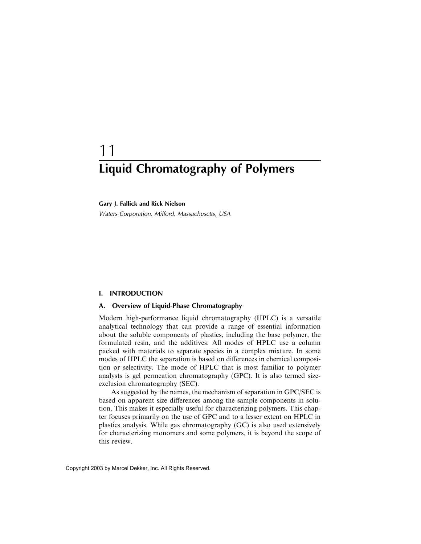# 11 Liquid Chromatography of Polymers

Gary J. Fallick and Rick Nielson

Waters Corporation, Milford, Massachusetts, USA

## I. INTRODUCTION

## A. Overview of Liquid-Phase Chromatography

Modern high-performance liquid chromatography (HPLC) is a versatile analytical technology that can provide a range of essential information about the soluble components of plastics, including the base polymer, the formulated resin, and the additives. All modes of HPLC use a column packed with materials to separate species in a complex mixture. In some modes of HPLC the separation is based on differences in chemical composition or selectivity. The mode of HPLC that is most familiar to polymer analysts is gel permeation chromatography (GPC). It is also termed sizeexclusion chromatography (SEC).

As suggested by the names, the mechanism of separation in GPC/SEC is based on apparent size differences among the sample components in solution. This makes it especially useful for characterizing polymers. This chapter focuses primarily on the use of GPC and to a lesser extent on HPLC in plastics analysis. While gas chromatography (GC) is also used extensively for characterizing monomers and some polymers, it is beyond the scope of this review.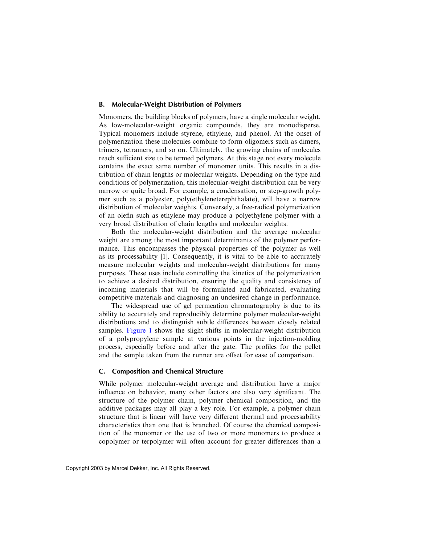# B. Molecular-Weight Distribution of Polymers

Monomers, the building blocks of polymers, have a single molecular weight. As low-molecular-weight organic compounds, they are monodisperse. Typical monomers include styrene, ethylene, and phenol. At the onset of polymerization these molecules combine to form oligomers such as dimers, trimers, tetramers, and so on. Ultimately, the growing chains of molecules reach sufficient size to be termed polymers. At this stage not every molecule contains the exact same number of monomer units. This results in a distribution of chain lengths or molecular weights. Depending on the type and conditions of polymerization, this molecular-weight distribution can be very narrow or quite broad. For example, a condensation, or step-growth polymer such as a polyester, poly(ethyleneterephthalate), will have a narrow distribution of molecular weights. Conversely, a free-radical polymerization of an olefin such as ethylene may produce a polyethylene polymer with a very broad distribution of chain lengths and molecular weights.

Both the molecular-weight distribution and the average molecular weight are among the most important determinants of the polymer performance. This encompasses the physical properties of the polymer as well as its processability [1]. Consequently, it is vital to be able to accurately measure molecular weights and molecular-weight distributions for many purposes. These uses include controlling the kinetics of the polymerization to achieve a desired distribution, ensuring the quality and consistency of incoming materials that will be formulated and fabricated, evaluating competitive materials and diagnosing an undesired change in performance.

The widespread use of gel permeation chromatography is due to its ability to accurately and reproducibly determine polymer molecular-weight distributions and to distinguish subtle differences between closely related samples. [Figure 1](#page-2-0) shows the slight shifts in molecular-weight distribution of a polypropylene sample at various points in the injection-molding process, especially before and after the gate. The profiles for the pellet and the sample taken from the runner are offset for ease of comparison.

# C. Composition and Chemical Structure

While polymer molecular-weight average and distribution have a major influence on behavior, many other factors are also very significant. The structure of the polymer chain, polymer chemical composition, and the additive packages may all play a key role. For example, a polymer chain structure that is linear will have very different thermal and processability characteristics than one that is branched. Of course the chemical composition of the monomer or the use of two or more monomers to produce a copolymer or terpolymer will often account for greater differences than a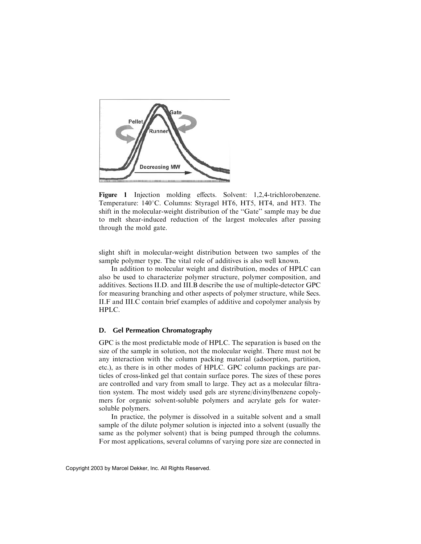<span id="page-2-0"></span>

Figure 1 Injection molding effects. Solvent: 1,2,4-trichlorobenzene. Temperature:  $140^{\circ}$ C. Columns: Styragel HT6, HT5, HT4, and HT3. The shift in the molecular-weight distribution of the ''Gate'' sample may be due to melt shear-induced reduction of the largest molecules after passing through the mold gate.

slight shift in molecular-weight distribution between two samples of the sample polymer type. The vital role of additives is also well known.

In addition to molecular weight and distribution, modes of HPLC can also be used to characterize polymer structure, polymer composition, and additives. Sections II.D. and III.B describe the use of multiple-detector GPC for measuring branching and other aspects of polymer structure, while Secs. II.F and III.C contain brief examples of additive and copolymer analysis by HPLC.

## D. Gel Permeation Chromatography

GPC is the most predictable mode of HPLC. The separation is based on the size of the sample in solution, not the molecular weight. There must not be any interaction with the column packing material (adsorption, partition, etc.), as there is in other modes of HPLC. GPC column packings are particles of cross-linked gel that contain surface pores. The sizes of these pores are controlled and vary from small to large. They act as a molecular filtration system. The most widely used gels are styrene/divinylbenzene copolymers for organic solvent-soluble polymers and acrylate gels for watersoluble polymers.

In practice, the polymer is dissolved in a suitable solvent and a small sample of the dilute polymer solution is injected into a solvent (usually the same as the polymer solvent) that is being pumped through the columns. For most applications, several columns of varying pore size are connected in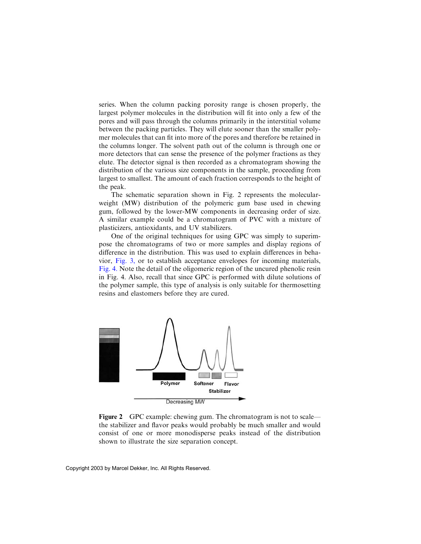series. When the column packing porosity range is chosen properly, the largest polymer molecules in the distribution will fit into only a few of the pores and will pass through the columns primarily in the interstitial volume between the packing particles. They will elute sooner than the smaller polymer molecules that can fit into more of the pores and therefore be retained in the columns longer. The solvent path out of the column is through one or more detectors that can sense the presence of the polymer fractions as they elute. The detector signal is then recorded as a chromatogram showing the distribution of the various size components in the sample, proceeding from largest to smallest. The amount of each fraction corresponds to the height of the peak.

The schematic separation shown in Fig. 2 represents the molecularweight (MW) distribution of the polymeric gum base used in chewing gum, followed by the lower-MW components in decreasing order of size. A similar example could be a chromatogram of PVC with a mixture of plasticizers, antioxidants, and UV stabilizers.

One of the original techniques for using GPC was simply to superimpose the chromatograms of two or more samples and display regions of difference in the distribution. This was used to explain differences in behavior, [Fig. 3,](#page-4-0) or to establish acceptance envelopes for incoming materials, [Fig. 4.](#page-4-0) Note the detail of the oligomeric region of the uncured phenolic resin in Fig. 4. Also, recall that since GPC is performed with dilute solutions of the polymer sample, this type of analysis is only suitable for thermosetting resins and elastomers before they are cured.



Figure 2 GPC example: chewing gum. The chromatogram is not to scale the stabilizer and flavor peaks would probably be much smaller and would consist of one or more monodisperse peaks instead of the distribution shown to illustrate the size separation concept.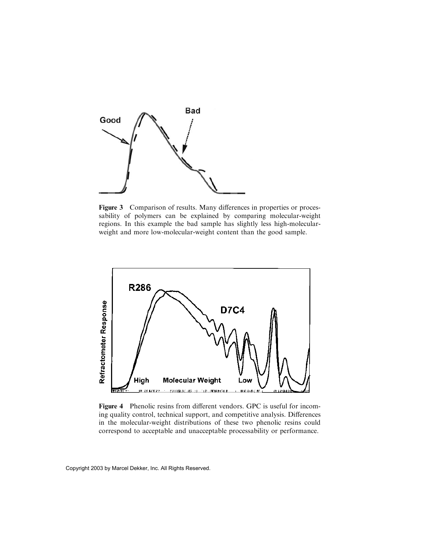<span id="page-4-0"></span>

Figure 3 Comparison of results. Many differences in properties or processability of polymers can be explained by comparing molecular-weight regions. In this example the bad sample has slightly less high-molecularweight and more low-molecular-weight content than the good sample.



Figure 4 Phenolic resins from different vendors. GPC is useful for incoming quality control, technical support, and competitive analysis. Differences in the molecular-weight distributions of these two phenolic resins could correspond to acceptable and unacceptable processability or performance.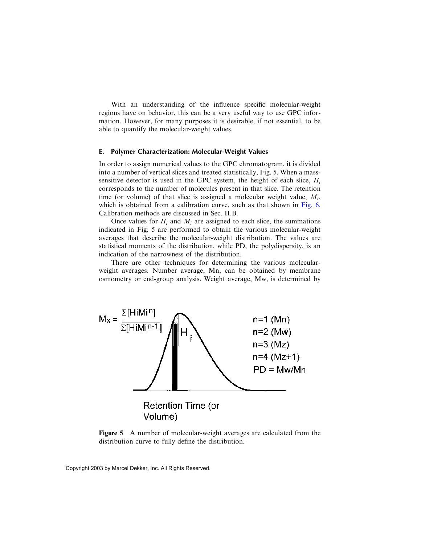With an understanding of the influence specific molecular-weight regions have on behavior, this can be a very useful way to use GPC information. However, for many purposes it is desirable, if not essential, to be able to quantify the molecular-weight values.

### E. Polymer Characterization: Molecular-Weight Values

In order to assign numerical values to the GPC chromatogram, it is divided into a number of vertical slices and treated statistically, Fig. 5. When a masssensitive detector is used in the GPC system, the height of each slice,  $H_i$ corresponds to the number of molecules present in that slice. The retention time (or volume) of that slice is assigned a molecular weight value,  $M_i$ , which is obtained from a calibration curve, such as that shown in [Fig. 6.](#page-6-0) Calibration methods are discussed in Sec. II.B.

Once values for  $H_i$  and  $M_i$  are assigned to each slice, the summations indicated in Fig. 5 are performed to obtain the various molecular-weight averages that describe the molecular-weight distribution. The values are statistical moments of the distribution, while PD, the polydispersity, is an indication of the narrowness of the distribution.

There are other techniques for determining the various molecularweight averages. Number average, Mn, can be obtained by membrane osmometry or end-group analysis. Weight average, Mw, is determined by



Figure 5 A number of molecular-weight averages are calculated from the distribution curve to fully define the distribution.

Copyright 2003 by Marcel Dekker, Inc. All Rights Reserved.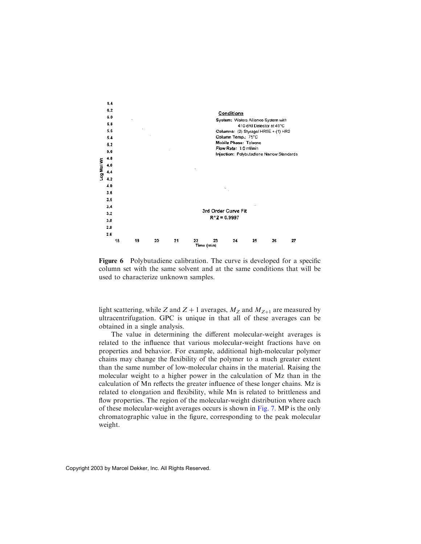<span id="page-6-0"></span>

Figure 6 Polybutadiene calibration. The curve is developed for a specific column set with the same solvent and at the same conditions that will be used to characterize unknown samples.

light scattering, while Z and  $Z + 1$  averages,  $M_Z$  and  $M_{Z+1}$  are measured by ultracentrifugation. GPC is unique in that all of these averages can be obtained in a single analysis.

The value in determining the different molecular-weight averages is related to the influence that various molecular-weight fractions have on properties and behavior. For example, additional high-molecular polymer chains may change the flexibility of the polymer to a much greater extent than the same number of low-molecular chains in the material. Raising the molecular weight to a higher power in the calculation of Mz than in the calculation of Mn reflects the greater influence of these longer chains. Mz is related to elongation and flexibility, while Mn is related to brittleness and flow properties. The region of the molecular-weight distribution where each of these molecular-weight averages occurs is shown in [Fig. 7.](#page-7-0) MP is the only chromatographic value in the figure, corresponding to the peak molecular weight.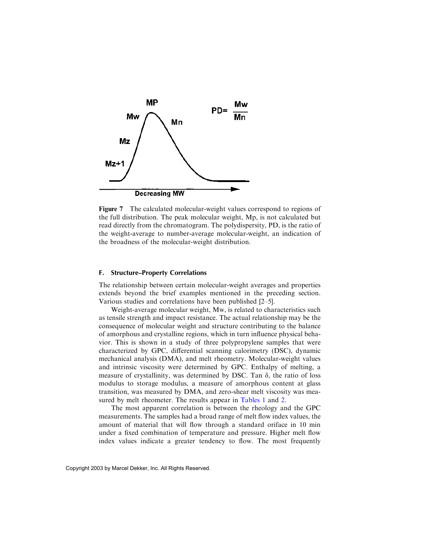<span id="page-7-0"></span>

Figure 7 The calculated molecular-weight values correspond to regions of the full distribution. The peak molecular weight, Mp, is not calculated but read directly from the chromatogram. The polydispersity, PD, is the ratio of the weight-average to number-average molecular-weight, an indication of the broadness of the molecular-weight distribution.

#### F. Structure–Property Correlations

The relationship between certain molecular-weight averages and properties extends beyond the brief examples mentioned in the preceding section. Various studies and correlations have been published [2–5].

Weight-average molecular weight, Mw, is related to characteristics such as tensile strength and impact resistance. The actual relationship may be the consequence of molecular weight and structure contributing to the balance of amorphous and crystalline regions, which in turn influence physical behavior. This is shown in a study of three polypropylene samples that were characterized by GPC, differential scanning calorimetry (DSC), dynamic mechanical analysis (DMA), and melt rheometry. Molecular-weight values and intrinsic viscosity were determined by GPC. Enthalpy of melting, a measure of crystallinity, was determined by DSC. Tan  $\delta$ , the ratio of loss modulus to storage modulus, a measure of amorphous content at glass transition, was measured by DMA, and zero-shear melt viscosity was mea-sured by melt rheometer. The results appear in [Tables 1](#page-8-0) and [2.](#page-8-0)

The most apparent correlation is between the rheology and the GPC measurements. The samples had a broad range of melt flow index values, the amount of material that will flow through a standard oriface in 10 min under a fixed combination of temperature and pressure. Higher melt flow index values indicate a greater tendency to flow. The most frequently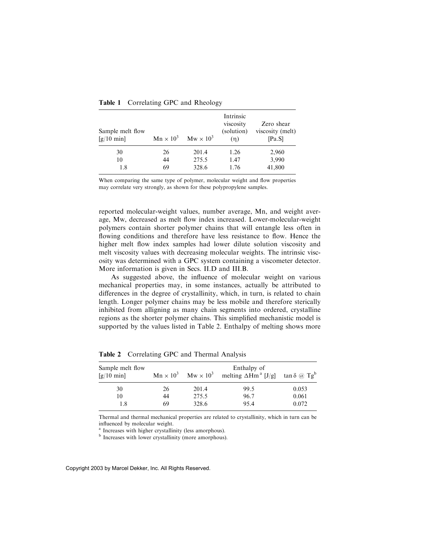| Sample melt flow<br>$[g/10 \text{ min}]$ | $Mn \times 10^3$ | $Mw \times 10^3$ | Intrinsic<br>viscosity<br>(solution)<br>(n) | Zero shear<br>viscosity (melt)<br>[Pa.S] |
|------------------------------------------|------------------|------------------|---------------------------------------------|------------------------------------------|
| 30                                       | 26               | 201.4            | 1.26                                        | 2,960                                    |
| 10                                       | 44               | 275.5            | 1.47                                        | 3,990                                    |
| 1.8                                      | 69               | 328.6            | 1.76                                        | 41,800                                   |

<span id="page-8-0"></span>Table 1 Correlating GPC and Rheology

When comparing the same type of polymer, molecular weight and flow properties may correlate very strongly, as shown for these polypropylene samples.

reported molecular-weight values, number average, Mn, and weight average, Mw, decreased as melt flow index increased. Lower-molecular-weight polymers contain shorter polymer chains that will entangle less often in flowing conditions and therefore have less resistance to flow. Hence the higher melt flow index samples had lower dilute solution viscosity and melt viscosity values with decreasing molecular weights. The intrinsic viscosity was determined with a GPC system containing a viscometer detector. More information is given in Secs. II.D and III.B.

As suggested above, the influence of molecular weight on various mechanical properties may, in some instances, actually be attributed to differences in the degree of crystallinity, which, in turn, is related to chain length. Longer polymer chains may be less mobile and therefore sterically inhibited from alligning as many chain segments into ordered, crystalline regions as the shorter polymer chains. This simplified mechanistic model is supported by the values listed in Table 2. Enthalpy of melting shows more

| Sample melt flow<br>$[g/10 \text{ min}]$ | $Mn \times 10^3$ | $Mw \times 10^3$ | Enthalpy of<br>melting $\Delta$ Hm <sup>a</sup> [J/g] | $\tan \delta$ @ $Tg^b$ |
|------------------------------------------|------------------|------------------|-------------------------------------------------------|------------------------|
| 30                                       | 26               | 201.4            | 99.5                                                  | 0.053                  |
| 10                                       | 44               | 275.5            | 96.7                                                  | 0.061                  |
| 1.8                                      | 69               | 328.6            | 95.4                                                  | 0.072                  |

Table 2 Correlating GPC and Thermal Analysis

Thermal and thermal mechanical properties are related to crystallinity, which in turn can be influenced by molecular weight.

<sup>a</sup> Increases with higher crystallinity (less amorphous).

 $<sup>b</sup>$  Increases with lower crystallinity (more amorphous).</sup>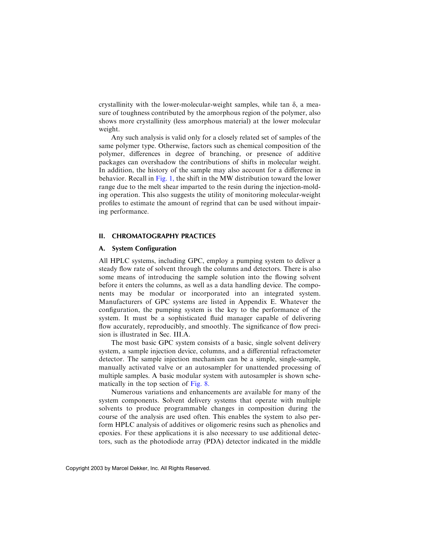crystallinity with the lower-molecular-weight samples, while tan  $\delta$ , a measure of toughness contributed by the amorphous region of the polymer, also shows more crystallinity (less amorphous material) at the lower molecular weight.

Any such analysis is valid only for a closely related set of samples of the same polymer type. Otherwise, factors such as chemical composition of the polymer, differences in degree of branching, or presence of additive packages can overshadow the contributions of shifts in molecular weight. In addition, the history of the sample may also account for a difference in behavior. Recall in [Fig. 1](#page-2-0), the shift in the MW distribution toward the lower range due to the melt shear imparted to the resin during the injection-molding operation. This also suggests the utility of monitoring molecular-weight profiles to estimate the amount of regrind that can be used without impairing performance.

## II. CHROMATOGRAPHY PRACTICES

### A. System Configuration

All HPLC systems, including GPC, employ a pumping system to deliver a steady flow rate of solvent through the columns and detectors. There is also some means of introducing the sample solution into the flowing solvent before it enters the columns, as well as a data handling device. The components may be modular or incorporated into an integrated system. Manufacturers of GPC systems are listed in Appendix E. Whatever the configuration, the pumping system is the key to the performance of the system. It must be a sophisticated fluid manager capable of delivering flow accurately, reproducibly, and smoothly. The significance of flow precision is illustrated in Sec. III.A.

The most basic GPC system consists of a basic, single solvent delivery system, a sample injection device, columns, and a differential refractometer detector. The sample injection mechanism can be a simple, single-sample, manually activated valve or an autosampler for unattended processing of multiple samples. A basic modular system with autosampler is shown schematically in the top section of [Fig. 8.](#page-10-0)

Numerous variations and enhancements are available for many of the system components. Solvent delivery systems that operate with multiple solvents to produce programmable changes in composition during the course of the analysis are used often. This enables the system to also perform HPLC analysis of additives or oligomeric resins such as phenolics and epoxies. For these applications it is also necessary to use additional detectors, such as the photodiode array (PDA) detector indicated in the middle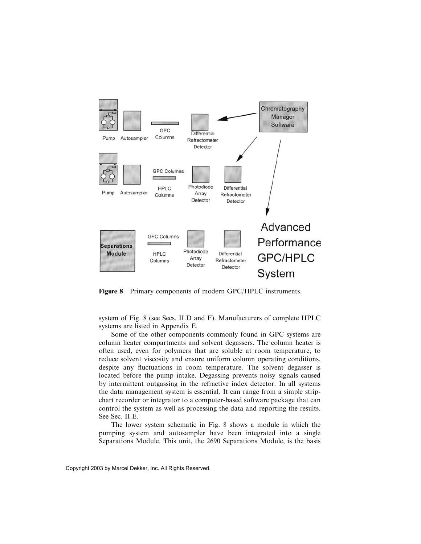<span id="page-10-0"></span>

Figure 8 Primary components of modern GPC/HPLC instruments.

system of Fig. 8 (see Secs. II.D and F). Manufacturers of complete HPLC systems are listed in Appendix E.

Some of the other components commonly found in GPC systems are column heater compartments and solvent degassers. The column heater is often used, even for polymers that are soluble at room temperature, to reduce solvent viscosity and ensure uniform column operating conditions, despite any fluctuations in room temperature. The solvent degasser is located before the pump intake. Degassing prevents noisy signals caused by intermittent outgassing in the refractive index detector. In all systems the data management system is essential. It can range from a simple stripchart recorder or integrator to a computer-based software package that can control the system as well as processing the data and reporting the results. See Sec. II.E.

The lower system schematic in Fig. 8 shows a module in which the pumping system and autosampler have been integrated into a single Separations Module. This unit, the 2690 Separations Module, is the basis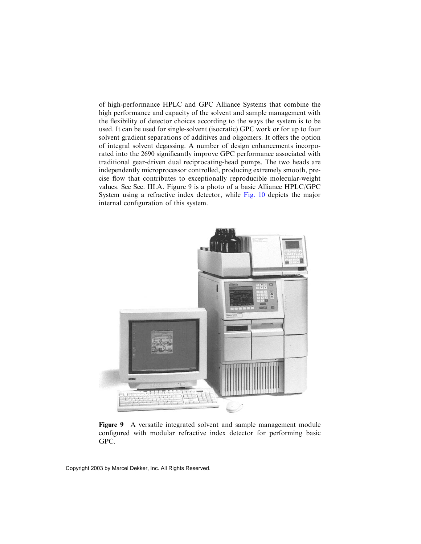<span id="page-11-0"></span>of high-performance HPLC and GPC Alliance Systems that combine the high performance and capacity of the solvent and sample management with the flexibility of detector choices according to the ways the system is to be used. It can be used for single-solvent (isocratic) GPC work or for up to four solvent gradient separations of additives and oligomers. It offers the option of integral solvent degassing. A number of design enhancements incorporated into the 2690 significantly improve GPC performance associated with traditional gear-driven dual reciprocating-head pumps. The two heads are independently microprocessor controlled, producing extremely smooth, precise flow that contributes to exceptionally reproducible molecular-weight values. See Sec. III.A. Figure 9 is a photo of a basic Alliance HPLC/GPC System using a refractive index detector, while [Fig. 10](#page-12-0) depicts the major internal configuration of this system.



**Figure 9** A versatile integrated solvent and sample management module configured with modular refractive index detector for performing basic GPC.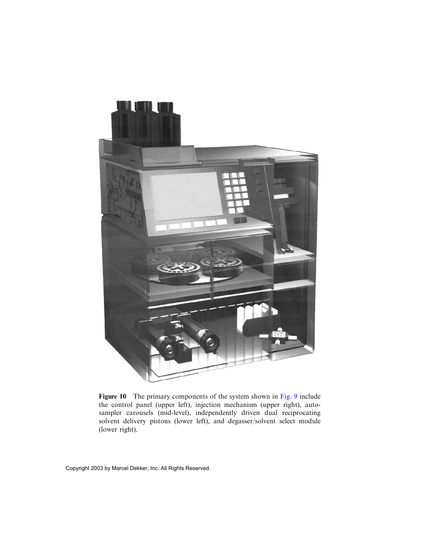<span id="page-12-0"></span>

Figure 10 The primary components of the system shown in [Fig. 9](#page-11-0) include the control panel (upper left), injection mechanism (upper right), autosampler carousels (mid-level), independently driven dual reciprocating solvent delivery pistons (lower left), and degasser/solvent select module (lower right).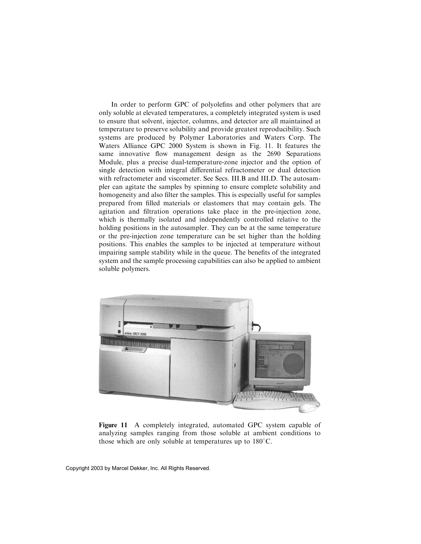<span id="page-13-0"></span>In order to perform GPC of polyolefins and other polymers that are only soluble at elevated temperatures, a completely integrated system is used to ensure that solvent, injector, columns, and detector are all maintained at temperature to preserve solubility and provide greatest reproducibility. Such systems are produced by Polymer Laboratories and Waters Corp. The Waters Alliance GPC 2000 System is shown in Fig. 11. It features the same innovative flow management design as the 2690 Separations Module, plus a precise dual-temperature-zone injector and the option of single detection with integral differential refractometer or dual detection with refractometer and viscometer. See Secs. III.B and III.D. The autosampler can agitate the samples by spinning to ensure complete solubility and homogeneity and also filter the samples. This is especially useful for samples prepared from filled materials or elastomers that may contain gels. The agitation and filtration operations take place in the pre-injection zone, which is thermally isolated and independently controlled relative to the holding positions in the autosampler. They can be at the same temperature or the pre-injection zone temperature can be set higher than the holding positions. This enables the samples to be injected at temperature without impairing sample stability while in the queue. The benefits of the integrated system and the sample processing capabilities can also be applied to ambient soluble polymers.



Figure 11 A completely integrated, automated GPC system capable of analyzing samples ranging from those soluble at ambient conditions to those which are only soluble at temperatures up to 180 C.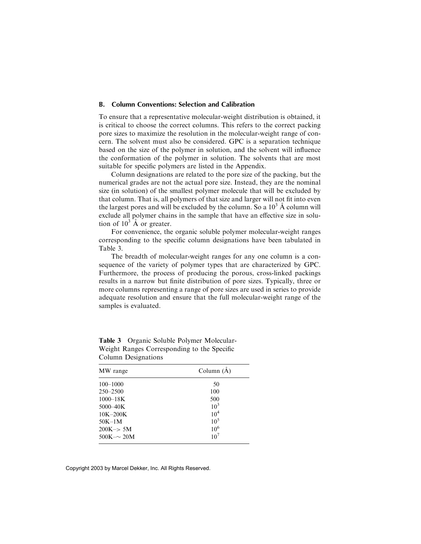#### B. Column Conventions: Selection and Calibration

To ensure that a representative molecular-weight distribution is obtained, it is critical to choose the correct columns. This refers to the correct packing pore sizes to maximize the resolution in the molecular-weight range of concern. The solvent must also be considered. GPC is a separation technique based on the size of the polymer in solution, and the solvent will influence the conformation of the polymer in solution. The solvents that are most suitable for specific polymers are listed in the Appendix.

Column designations are related to the pore size of the packing, but the numerical grades are not the actual pore size. Instead, they are the nominal size (in solution) of the smallest polymer molecule that will be excluded by that column. That is, all polymers of that size and larger will not fit into even the largest pores and will be excluded by the column. So a  $10^3$  Å column will exclude all polymer chains in the sample that have an effective size in solution of  $10^3$  Å or greater.

For convenience, the organic soluble polymer molecular-weight ranges corresponding to the specific column designations have been tabulated in Table 3.

The breadth of molecular-weight ranges for any one column is a consequence of the variety of polymer types that are characterized by GPC. Furthermore, the process of producing the porous, cross-linked packings results in a narrow but finite distribution of pore sizes. Typically, three or more columns representing a range of pore sizes are used in series to provide adequate resolution and ensure that the full molecular-weight range of the samples is evaluated.

| MW range              | Column $(A)$ |
|-----------------------|--------------|
| $100 - 1000$          | 50           |
| $250 - 2500$          | 100          |
| $1000 - 18K$          | 500          |
| $5000 - 40K$          | $10^{3}$     |
| $10K-200K$            | $10^{4}$     |
| $50K-1M$              | $10^{5}$     |
| $200K \rightarrow 5M$ | $10^{6}$     |
| $500K - 20M$          | $10^{7}$     |

Table 3 Organic Soluble Polymer Molecular-Weight Ranges Corresponding to the Specific Column Designations

Copyright 2003 by Marcel Dekker, Inc. All Rights Reserved.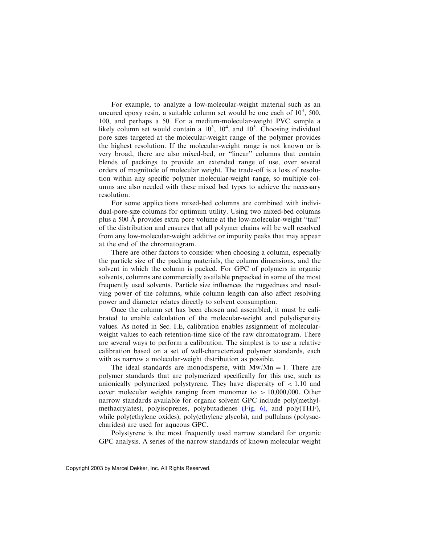For example, to analyze a low-molecular-weight material such as an uncured epoxy resin, a suitable column set would be one each of  $10^3$ , 500, 100, and perhaps a 50. For a medium-molecular-weight PVC sample a likely column set would contain a  $10^3$ ,  $10^4$ , and  $10^5$ . Choosing individual pore sizes targeted at the molecular-weight range of the polymer provides the highest resolution. If the molecular-weight range is not known or is very broad, there are also mixed-bed, or ''linear'' columns that contain blends of packings to provide an extended range of use, over several orders of magnitude of molecular weight. The trade-off is a loss of resolution within any specific polymer molecular-weight range, so multiple columns are also needed with these mixed bed types to achieve the necessary resolution.

For some applications mixed-bed columns are combined with individual-pore-size columns for optimum utility. Using two mixed-bed columns plus a 500  $\AA$  provides extra pore volume at the low-molecular-weight "tail" of the distribution and ensures that all polymer chains will be well resolved from any low-molecular-weight additive or impurity peaks that may appear at the end of the chromatogram.

There are other factors to consider when choosing a column, especially the particle size of the packing materials, the column dimensions, and the solvent in which the column is packed. For GPC of polymers in organic solvents, columns are commercially available prepacked in some of the most frequently used solvents. Particle size influences the ruggedness and resolving power of the columns, while column length can also affect resolving power and diameter relates directly to solvent consumption.

Once the column set has been chosen and assembled, it must be calibrated to enable calculation of the molecular-weight and polydispersity values. As noted in Sec. I.E, calibration enables assignment of molecularweight values to each retention-time slice of the raw chromatogram. There are several ways to perform a calibration. The simplest is to use a relative calibration based on a set of well-characterized polymer standards, each with as narrow a molecular-weight distribution as possible.

The ideal standards are monodisperse, with  $Mw/Mn = 1$ . There are polymer standards that are polymerized specifically for this use, such as anionically polymerized polystyrene. They have dispersity of  $\lt$  1.10 and cover molecular weights ranging from monomer to  $> 10,000,000$ . Other narrow standards available for organic solvent GPC include poly(methylmethacrylates), polyisoprenes, polybutadienes [\(Fig. 6\),](#page-6-0) and poly(THF), while poly(ethylene oxides), poly(ethylene glycols), and pullulans (polysaccharides) are used for aqueous GPC.

Polystyrene is the most frequently used narrow standard for organic GPC analysis. A series of the narrow standards of known molecular weight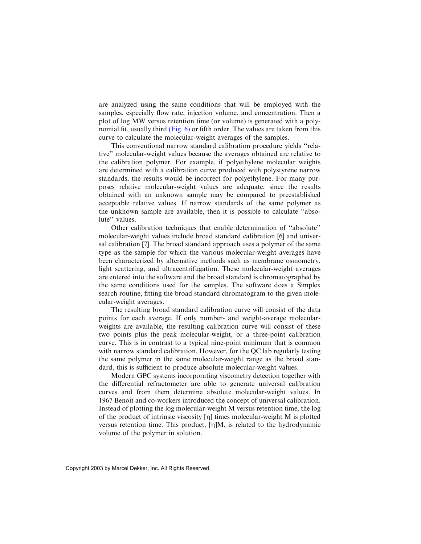are analyzed using the same conditions that will be employed with the samples, especially flow rate, injection volume, and concentration. Then a plot of log MW versus retention time (or volume) is generated with a poly-nomial fit, usually third [\(Fig. 6\)](#page-6-0) or fifth order. The values are taken from this curve to calculate the molecular-weight averages of the samples.

This conventional narrow standard calibration procedure yields ''relative'' molecular-weight values because the averages obtained are relative to the calibration polymer. For example, if polyethylene molecular weights are determined with a calibration curve produced with polystyrene narrow standards, the results would be incorrect for polyethylene. For many purposes relative molecular-weight values are adequate, since the results obtained with an unknown sample may be compared to preestablished acceptable relative values. If narrow standards of the same polymer as the unknown sample are available, then it is possible to calculate ''absolute'' values.

Other calibration techniques that enable determination of ''absolute'' molecular-weight values include broad standard calibration [6] and universal calibration [7]. The broad standard approach uses a polymer of the same type as the sample for which the various molecular-weight averages have been characterized by alternative methods such as membrane osmometry, light scattering, and ultracentrifugation. These molecular-weight averages are entered into the software and the broad standard is chromatographed by the same conditions used for the samples. The software does a Simplex search routine, fitting the broad standard chromatogram to the given molecular-weight averages.

The resulting broad standard calibration curve will consist of the data points for each average. If only number- and weight-average molecularweights are available, the resulting calibration curve will consist of these two points plus the peak molecular-weight, or a three-point calibration curve. This is in contrast to a typical nine-point minimum that is common with narrow standard calibration. However, for the QC lab regularly testing the same polymer in the same molecular-weight range as the broad standard, this is sufficient to produce absolute molecular-weight values.

Modern GPC systems incorporating viscometry detection together with the differential refractometer are able to generate universal calibration curves and from them determine absolute molecular-weight values. In 1967 Benoit and co-workers introduced the concept of universal calibration. Instead of plotting the log molecular-weight M versus retention time, the log of the product of intrinsic viscosity  $[\eta]$  times molecular-weight M is plotted versus retention time. This product,  $[\eta]M$ , is related to the hydrodynamic volume of the polymer in solution.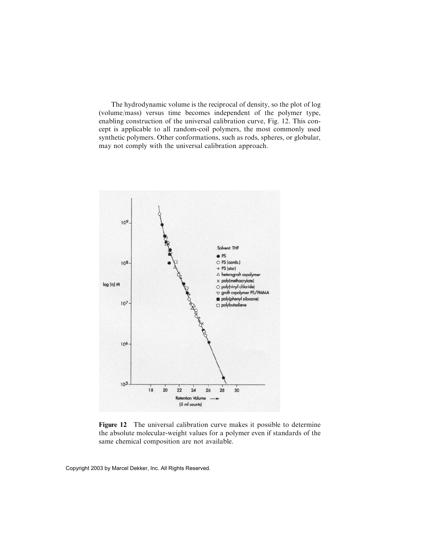The hydrodynamic volume is the reciprocal of density, so the plot of log (volume/mass) versus time becomes independent of the polymer type, enabling construction of the universal calibration curve, Fig. 12. This concept is applicable to all random-coil polymers, the most commonly used synthetic polymers. Other conformations, such as rods, spheres, or globular, may not comply with the universal calibration approach.





Copyright 2003 by Marcel Dekker, Inc. All Rights Reserved.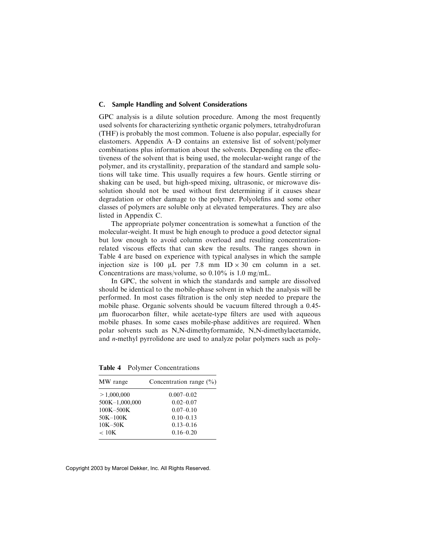## C. Sample Handling and Solvent Considerations

GPC analysis is a dilute solution procedure. Among the most frequently used solvents for characterizing synthetic organic polymers, tetrahydrofuran (THF) is probably the most common. Toluene is also popular, especially for elastomers. Appendix A–D contains an extensive list of solvent/polymer combinations plus information about the solvents. Depending on the effectiveness of the solvent that is being used, the molecular-weight range of the polymer, and its crystallinity, preparation of the standard and sample solutions will take time. This usually requires a few hours. Gentle stirring or shaking can be used, but high-speed mixing, ultrasonic, or microwave dissolution should not be used without first determining if it causes shear degradation or other damage to the polymer. Polyolefins and some other classes of polymers are soluble only at elevated temperatures. They are also listed in Appendix C.

The appropriate polymer concentration is somewhat a function of the molecular-weight. It must be high enough to produce a good detector signal but low enough to avoid column overload and resulting concentrationrelated viscous effects that can skew the results. The ranges shown in Table 4 are based on experience with typical analyses in which the sample injection size is 100  $\mu$ L per 7.8 mm ID  $\times$  30 cm column in a set. Concentrations are mass/volume, so 0.10% is 1.0 mg/mL.

In GPC, the solvent in which the standards and sample are dissolved should be identical to the mobile-phase solvent in which the analysis will be performed. In most cases filtration is the only step needed to prepare the mobile phase. Organic solvents should be vacuum filtered through a 0.45 mm fluorocarbon filter, while acetate-type filters are used with aqueous mobile phases. In some cases mobile-phase additives are required. When polar solvents such as N,N-dimethyformamide, N,N-dimethylacetamide, and n-methyl pyrrolidone are used to analyze polar polymers such as poly-

| MW range       | Concentration range $(\% )$ |
|----------------|-----------------------------|
| > 1,000,000    | $0.007 - 0.02$              |
| 500K-1,000,000 | $0.02 - 0.07$               |
| $100K - 500K$  | $0.07 - 0.10$               |
| $50K-100K$     | $0.10 - 0.13$               |
| $10K-50K$      | $0.13 - 0.16$               |
| < 10K          | $0.16 - 0.20$               |

Table 4 Polymer Concentrations

Copyright 2003 by Marcel Dekker, Inc. All Rights Reserved.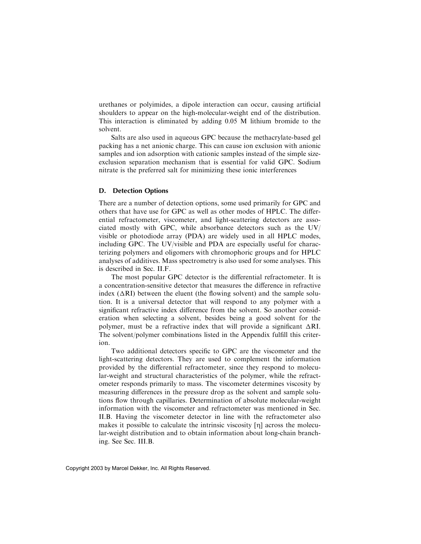urethanes or polyimides, a dipole interaction can occur, causing artificial shoulders to appear on the high-molecular-weight end of the distribution. This interaction is eliminated by adding 0.05 M lithium bromide to the solvent.

Salts are also used in aqueous GPC because the methacrylate-based gel packing has a net anionic charge. This can cause ion exclusion with anionic samples and ion adsorption with cationic samples instead of the simple sizeexclusion separation mechanism that is essential for valid GPC. Sodium nitrate is the preferred salt for minimizing these ionic interferences

## D. Detection Options

There are a number of detection options, some used primarily for GPC and others that have use for GPC as well as other modes of HPLC. The differential refractometer, viscometer, and light-scattering detectors are associated mostly with GPC, while absorbance detectors such as the UV/ visible or photodiode array (PDA) are widely used in all HPLC modes, including GPC. The UV/visible and PDA are especially useful for characterizing polymers and oligomers with chromophoric groups and for HPLC analyses of additives. Mass spectrometry is also used for some analyses. This is described in Sec. II.F.

The most popular GPC detector is the differential refractometer. It is a concentration-sensitive detector that measures the difference in refractive index  $(\Delta R I)$  between the eluent (the flowing solvent) and the sample solution. It is a universal detector that will respond to any polymer with a significant refractive index difference from the solvent. So another consideration when selecting a solvent, besides being a good solvent for the polymer, must be a refractive index that will provide a significant  $\Delta RI$ . The solvent/polymer combinations listed in the Appendix fulfill this criterion.

Two additional detectors specific to GPC are the viscometer and the light-scattering detectors. They are used to complement the information provided by the differential refractometer, since they respond to molecular-weight and structural characteristics of the polymer, while the refractometer responds primarily to mass. The viscometer determines viscosity by measuring differences in the pressure drop as the solvent and sample solutions flow through capillaries. Determination of absolute molecular-weight information with the viscometer and refractometer was mentioned in Sec. II.B. Having the viscometer detector in line with the refractometer also makes it possible to calculate the intrinsic viscosity  $[\eta]$  across the molecular-weight distribution and to obtain information about long-chain branching. See Sec. III.B.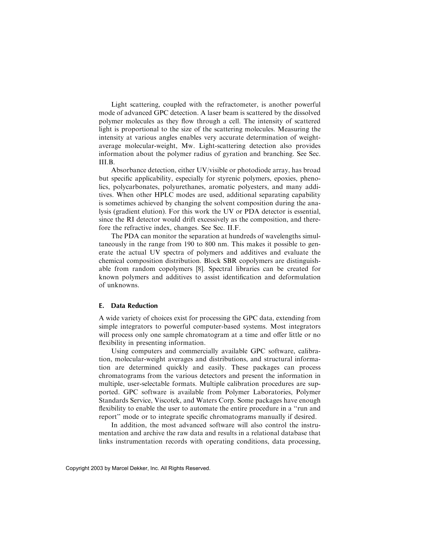Light scattering, coupled with the refractometer, is another powerful mode of advanced GPC detection. A laser beam is scattered by the dissolved polymer molecules as they flow through a cell. The intensity of scattered light is proportional to the size of the scattering molecules. Measuring the intensity at various angles enables very accurate determination of weightaverage molecular-weight, Mw. Light-scattering detection also provides information about the polymer radius of gyration and branching. See Sec. III.B.

Absorbance detection, either UV/visible or photodiode array, has broad but specific applicability, especially for styrenic polymers, epoxies, phenolics, polycarbonates, polyurethanes, aromatic polyesters, and many additives. When other HPLC modes are used, additional separating capability is sometimes achieved by changing the solvent composition during the analysis (gradient elution). For this work the UV or PDA detector is essential, since the RI detector would drift excessively as the composition, and therefore the refractive index, changes. See Sec. II.F.

The PDA can monitor the separation at hundreds of wavelengths simultaneously in the range from 190 to 800 nm. This makes it possible to generate the actual UV spectra of polymers and additives and evaluate the chemical composition distribution. Block SBR copolymers are distinguishable from random copolymers [8]. Spectral libraries can be created for known polymers and additives to assist identification and deformulation of unknowns.

#### E. Data Reduction

A wide variety of choices exist for processing the GPC data, extending from simple integrators to powerful computer-based systems. Most integrators will process only one sample chromatogram at a time and offer little or no flexibility in presenting information.

Using computers and commercially available GPC software, calibration, molecular-weight averages and distributions, and structural information are determined quickly and easily. These packages can process chromatograms from the various detectors and present the information in multiple, user-selectable formats. Multiple calibration procedures are supported. GPC software is available from Polymer Laboratories, Polymer Standards Service, Viscotek, and Waters Corp. Some packages have enough flexibility to enable the user to automate the entire procedure in a ''run and report'' mode or to integrate specific chromatograms manually if desired.

In addition, the most advanced software will also control the instrumentation and archive the raw data and results in a relational database that links instrumentation records with operating conditions, data processing,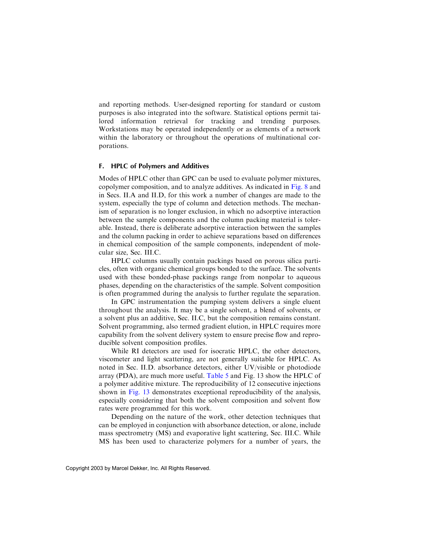and reporting methods. User-designed reporting for standard or custom purposes is also integrated into the software. Statistical options permit tailored information retrieval for tracking and trending purposes. Workstations may be operated independently or as elements of a network within the laboratory or throughout the operations of multinational corporations.

## F. HPLC of Polymers and Additives

Modes of HPLC other than GPC can be used to evaluate polymer mixtures, copolymer composition, and to analyze additives. As indicated in [Fig. 8](#page-10-0) and in Secs. II.A and II.D, for this work a number of changes are made to the system, especially the type of column and detection methods. The mechanism of separation is no longer exclusion, in which no adsorptive interaction between the sample components and the column packing material is tolerable. Instead, there is deliberate adsorptive interaction between the samples and the column packing in order to achieve separations based on differences in chemical composition of the sample components, independent of molecular size, Sec. III.C.

HPLC columns usually contain packings based on porous silica particles, often with organic chemical groups bonded to the surface. The solvents used with these bonded-phase packings range from nonpolar to aqueous phases, depending on the characteristics of the sample. Solvent composition is often programmed during the analysis to further regulate the separation.

In GPC instrumentation the pumping system delivers a single eluent throughout the analysis. It may be a single solvent, a blend of solvents, or a solvent plus an additive, Sec. II.C, but the composition remains constant. Solvent programming, also termed gradient elution, in HPLC requires more capability from the solvent delivery system to ensure precise flow and reproducible solvent composition profiles.

While RI detectors are used for isocratic HPLC, the other detectors, viscometer and light scattering, are not generally suitable for HPLC. As noted in Sec. II.D. absorbance detectors, either UV/visible or photodiode array (PDA), are much more useful. [Table 5](#page-22-0) and Fig. 13 show the HPLC of a polymer additive mixture. The reproducibility of 12 consecutive injections shown in [Fig. 13](#page-22-0) demonstrates exceptional reproducibility of the analysis, especially considering that both the solvent composition and solvent flow rates were programmed for this work.

Depending on the nature of the work, other detection techniques that can be employed in conjunction with absorbance detection, or alone, include mass spectrometry (MS) and evaporative light scattering, Sec. III.C. While MS has been used to characterize polymers for a number of years, the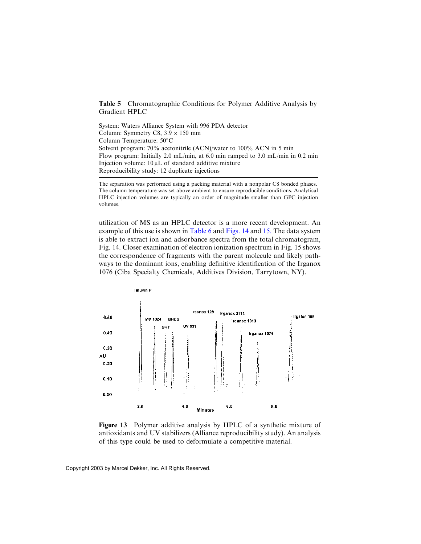## <span id="page-22-0"></span>Table 5 Chromatographic Conditions for Polymer Additive Analysis by Gradient HPLC

System: Waters Alliance System with 996 PDA detector Column: Symmetry C8,  $3.9 \times 150$  mm Column Temperature: 50 C Solvent program: 70% acetonitrile (ACN)/water to 100% ACN in 5 min Flow program: Initially 2.0 mL/min, at 6.0 min ramped to 3.0 mL/min in 0.2 min Injection volume: 10 µL of standard additive mixture Reproducibility study: 12 duplicate injections

The separation was performed using a packing material with a nonpolar C8 bonded phases. The column temperature was set above ambient to ensure reproducible conditions. Analytical HPLC injection volumes are typically an order of magnitude smaller than GPC injection volumes.

utilization of MS as an HPLC detector is a more recent development. An example of this use is shown in [Table 6](#page-23-0) and [Figs. 14](#page-24-0) and [15.](#page-25-0) The data system is able to extract ion and adsorbance spectra from the total chromatogram, Fig. 14. Closer examination of electron ionization spectrum in Fig. 15 shows the correspondence of fragments with the parent molecule and likely pathways to the dominant ions, enabling definitive identification of the Irganox 1076 (Ciba Specialty Chemicals, Additives Division, Tarrytown, NY).



Figure 13 Polymer additive analysis by HPLC of a synthetic mixture of antioxidants and UV stabilizers (Alliance reproducibility study). An analysis of this type could be used to deformulate a competitive material.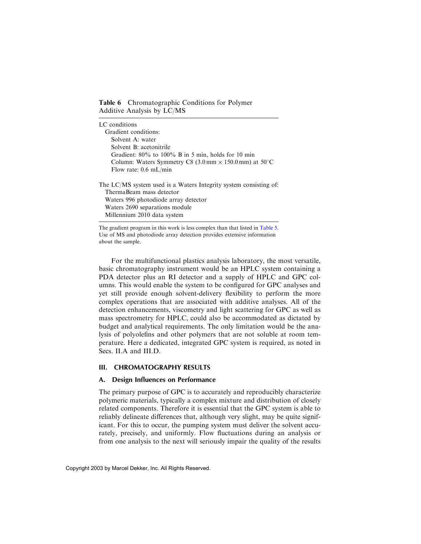# <span id="page-23-0"></span>Table 6 Chromatographic Conditions for Polymer Additive Analysis by LC/MS

| LC conditions                                                                           |  |
|-----------------------------------------------------------------------------------------|--|
| Gradient conditions:                                                                    |  |
| Solvent A: water                                                                        |  |
| Solvent B: acetonitrile                                                                 |  |
| Gradient: $80\%$ to $100\%$ B in 5 min, holds for 10 min                                |  |
| Column: Waters Symmetry C8 $(3.0 \text{ mm} \times 150.0 \text{ mm})$ at $50^{\circ}$ C |  |
| Flow rate: $0.6$ mL/min                                                                 |  |
| The LC/MS system used is a Waters Integrity system consisting of:                       |  |
| ThermaBeam mass detector                                                                |  |
| Waters 996 photodiode array detector                                                    |  |
| Waters 2690 separations module                                                          |  |
| Millennium 2010 data system                                                             |  |
|                                                                                         |  |

The gradient program in this work is less complex than that listed in [Table 5.](#page-22-0) Use of MS and photodiode array detection provides extensive information about the sample.

For the multifunctional plastics analysis laboratory, the most versatile, basic chromatography instrument would be an HPLC system containing a PDA detector plus an RI detector and a supply of HPLC and GPC columns. This would enable the system to be configured for GPC analyses and yet still provide enough solvent-delivery flexibility to perform the more complex operations that are associated with additive analyses. All of the detection enhancements, viscometry and light scattering for GPC as well as mass spectrometry for HPLC, could also be accommodated as dictated by budget and analytical requirements. The only limitation would be the analysis of polyolefins and other polymers that are not soluble at room temperature. Here a dedicated, integrated GPC system is required, as noted in Secs. II.A and III.D.

# III. CHROMATOGRAPHY RESULTS

# A. Design Influences on Performance

The primary purpose of GPC is to accurately and reproducibly characterize polymeric materials, typically a complex mixture and distribution of closely related components. Therefore it is essential that the GPC system is able to reliably delineate differences that, although very slight, may be quite significant. For this to occur, the pumping system must deliver the solvent accurately, precisely, and uniformly. Flow fluctuations during an analysis or from one analysis to the next will seriously impair the quality of the results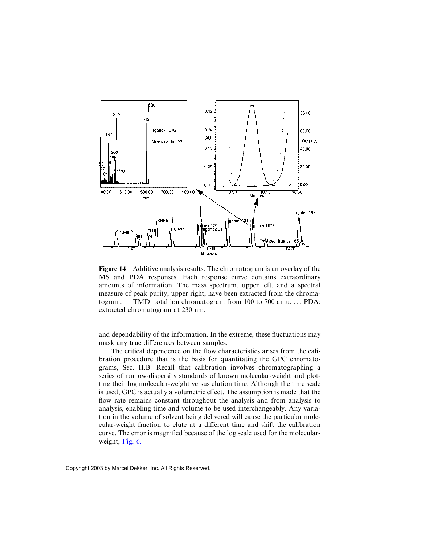<span id="page-24-0"></span>

Figure 14 Additive analysis results. The chromatogram is an overlay of the MS and PDA responses. Each response curve contains extraordinary amounts of information. The mass spectrum, upper left, and a spectral measure of peak purity, upper right, have been extracted from the chromatogram. — TMD: total ion chromatogram from 100 to 700 amu. ... PDA: extracted chromatogram at 230 nm.

and dependability of the information. In the extreme, these fluctuations may mask any true differences between samples.

The critical dependence on the flow characteristics arises from the calibration procedure that is the basis for quantitating the GPC chromatograms, Sec. II.B. Recall that calibration involves chromatographing a series of narrow-dispersity standards of known molecular-weight and plotting their log molecular-weight versus elution time. Although the time scale is used, GPC is actually a volumetric effect. The assumption is made that the flow rate remains constant throughout the analysis and from analysis to analysis, enabling time and volume to be used interchangeably. Any variation in the volume of solvent being delivered will cause the particular molecular-weight fraction to elute at a different time and shift the calibration curve. The error is magnified because of the log scale used for the molecularweight, [Fig. 6.](#page-6-0)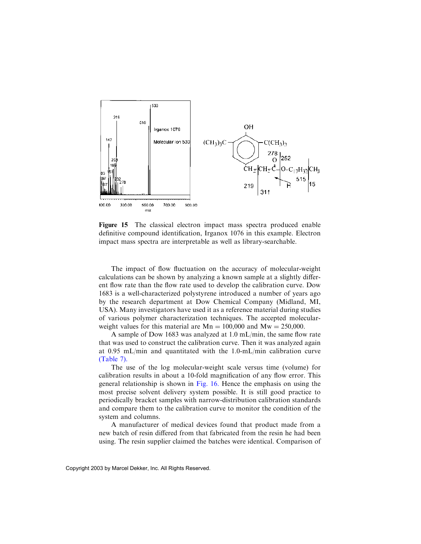<span id="page-25-0"></span>

Figure 15 The classical electron impact mass spectra produced enable definitive compound identification, Irganox 1076 in this example. Electron impact mass spectra are interpretable as well as library-searchable.

The impact of flow fluctuation on the accuracy of molecular-weight calculations can be shown by analyzing a known sample at a slightly different flow rate than the flow rate used to develop the calibration curve. Dow 1683 is a well-characterized polystyrene introduced a number of years ago by the research department at Dow Chemical Company (Midland, MI, USA). Many investigators have used it as a reference material during studies of various polymer characterization techniques. The accepted molecularweight values for this material are  $Mn = 100,000$  and  $Mw = 250,000$ .

A sample of Dow 1683 was analyzed at 1.0 mL/min, the same flow rate that was used to construct the calibration curve. Then it was analyzed again at 0.95 mL/min and quantitated with the 1.0-mL/min calibration curve [\(Table 7\).](#page-26-0)

The use of the log molecular-weight scale versus time (volume) for calibration results in about a 10-fold magnification of any flow error. This general relationship is shown in [Fig. 16.](#page-26-0) Hence the emphasis on using the most precise solvent delivery system possible. It is still good practice to periodically bracket samples with narrow-distribution calibration standards and compare them to the calibration curve to monitor the condition of the system and columns.

A manufacturer of medical devices found that product made from a new batch of resin differed from that fabricated from the resin he had been using. The resin supplier claimed the batches were identical. Comparison of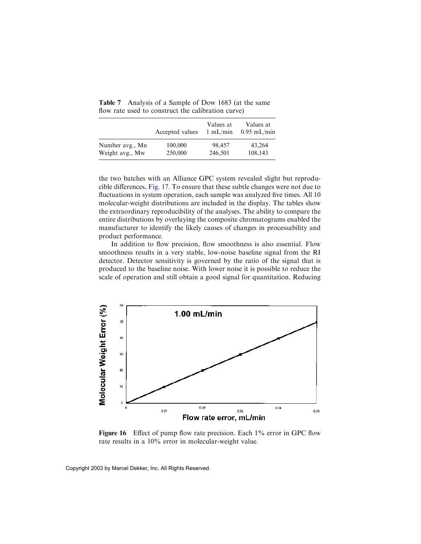|                 | Accepted values | Values at<br>$1 \text{ mL/min}$ | Values at<br>$0.95$ mL/min |
|-----------------|-----------------|---------------------------------|----------------------------|
| Number avg., Mn | 100,000         | 98.457                          | 43,264                     |
| Weight avg., Mw | 250,000         | 246,501                         | 108,143                    |

<span id="page-26-0"></span>Table 7 Analysis of a Sample of Dow 1683 (at the same flow rate used to construct the calibration curve)

the two batches with an Alliance GPC system revealed slight but reproducible differences, [Fig. 17.](#page-27-0) To ensure that these subtle changes were not due to fluctuations in system operation, each sample was analyzed five times. All 10 molecular-weight distributions are included in the display. The tables show the extraordinary reproducibility of the analyses. The ability to compare the entire distributions by overlaying the composite chromatograms enabled the manufacturer to identify the likely causes of changes in processability and product performance.

In addition to flow precision, flow smoothness is also essential. Flow smoothness results in a very stable, low-noise baseline signal from the RI detector. Detector sensitivity is governed by the ratio of the signal that is produced to the baseline noise. With lower noise it is possible to reduce the scale of operation and still obtain a good signal for quantitation. Reducing



Figure 16 Effect of pump flow rate precision. Each 1% error in GPC flow rate results in a 10% error in molecular-weight value.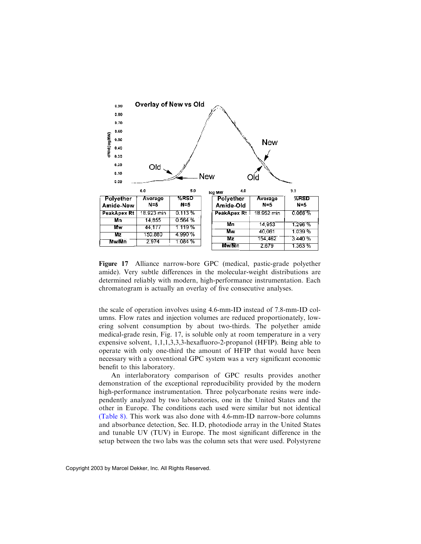<span id="page-27-0"></span>

Figure 17 Alliance narrow-bore GPC (medical, pastic-grade polyether amide). Very subtle differences in the molecular-weight distributions are determined reliably with modern, high-performance instrumentation. Each chromatogram is actually an overlay of five consecutive analyses.

the scale of operation involves using 4.6-mm-ID instead of 7.8-mm-ID columns. Flow rates and injection volumes are reduced proportionately, lowering solvent consumption by about two-thirds. The polyether amide medical-grade resin, Fig. 17, is soluble only at room temperature in a very expensive solvent, 1,1,1,3,3,3-hexafluoro-2-propanol (HFIP). Being able to operate with only one-third the amount of HFIP that would have been necessary with a conventional GPC system was a very significant economic benefit to this laboratory.

An interlaboratory comparison of GPC results provides another demonstration of the exceptional reproducibility provided by the modern high-performance instrumentation. Three polycarbonate resins were independently analyzed by two laboratories, one in the United States and the other in Europe. The conditions each used were similar but not identical [\(Table 8\)](#page-28-0). This work was also done with 4.6-mm-ID narrow-bore columns and absorbance detection, Sec. II.D, photodiode array in the United States and tunable UV (TUV) in Europe. The most significant difference in the setup between the two labs was the column sets that were used. Polystyrene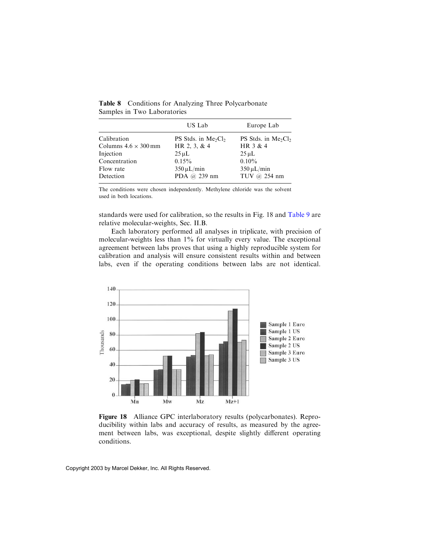|                             | US Lab               | Europe Lab           |
|-----------------------------|----------------------|----------------------|
| Calibration                 | PS Stds. in $Me2Cl2$ | PS Stds. in $Me2Cl2$ |
| Columns $4.6 \times 300$ mm | HR 2, 3, & 4         | HR 3 & 4             |
| Injection                   | $25 \mu L$           | $25 \mu L$           |
| Concentration               | 0.15%                | $0.10\%$             |
| Flow rate                   | $350 \mu L/min$      | $350 \mu L/min$      |
| Detection                   | PDA @ 239 nm         | TUV @ 254 nm         |

<span id="page-28-0"></span>Table 8 Conditions for Analyzing Three Polycarbonate Samples in Two Laboratories

The conditions were chosen independently. Methylene chloride was the solvent used in both locations.

standards were used for calibration, so the results in Fig. 18 and [Table 9](#page-29-0) are relative molecular-weights, Sec. II.B.

Each laboratory performed all analyses in triplicate, with precision of molecular-weights less than 1% for virtually every value. The exceptional agreement between labs proves that using a highly reproducible system for calibration and analysis will ensure consistent results within and between labs, even if the operating conditions between labs are not identical.



Figure 18 Alliance GPC interlaboratory results (polycarbonates). Reproducibility within labs and accuracy of results, as measured by the agreement between labs, was exceptional, despite slightly different operating conditions.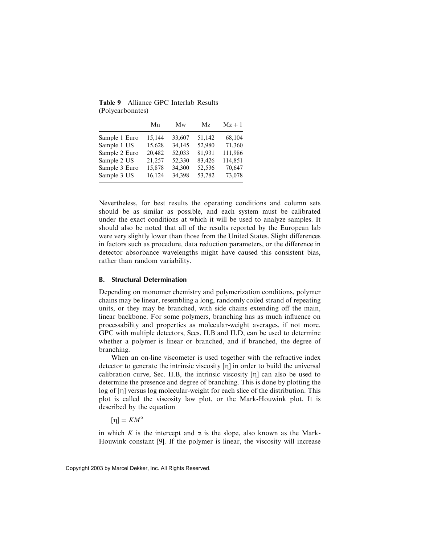|               | Mn     | Mw     | Mz     | $Mz + 1$ |
|---------------|--------|--------|--------|----------|
| Sample 1 Euro | 15,144 | 33,607 | 51,142 | 68,104   |
| Sample 1 US   | 15,628 | 34.145 | 52.980 | 71,360   |
| Sample 2 Euro | 20,482 | 52,033 | 81,931 | 111,986  |
| Sample 2 US   | 21,257 | 52,330 | 83,426 | 114,851  |
| Sample 3 Euro | 15,878 | 34,300 | 52,536 | 70,647   |
| Sample 3 US   | 16,124 | 34.398 | 53,782 | 73,078   |

<span id="page-29-0"></span>Table 9 Alliance GPC Interlab Results (Polycarbonates)

Nevertheless, for best results the operating conditions and column sets should be as similar as possible, and each system must be calibrated under the exact conditions at which it will be used to analyze samples. It should also be noted that all of the results reported by the European lab were very slightly lower than those from the United States. Slight differences in factors such as procedure, data reduction parameters, or the difference in detector absorbance wavelengths might have caused this consistent bias, rather than random variability.

## B. Structural Determination

Depending on monomer chemistry and polymerization conditions, polymer chains may be linear, resembling a long, randomly coiled strand of repeating units, or they may be branched, with side chains extending off the main, linear backbone. For some polymers, branching has as much influence on processability and properties as molecular-weight averages, if not more. GPC with multiple detectors, Secs. II.B and II.D, can be used to determine whether a polymer is linear or branched, and if branched, the degree of branching.

When an on-line viscometer is used together with the refractive index detector to generate the intrinsic viscosity  $[n]$  in order to build the universal calibration curve, Sec. II.B, the intrinsic viscosity  $[\eta]$  can also be used to determine the presence and degree of branching. This is done by plotting the  $\log$  of  $[\eta]$  versus log molecular-weight for each slice of the distribution. This plot is called the viscosity law plot, or the Mark-Houwink plot. It is described by the equation

 $[n]$  =  $KM^{\alpha}$ 

in which K is the intercept and  $\alpha$  is the slope, also known as the Mark-Houwink constant [9]. If the polymer is linear, the viscosity will increase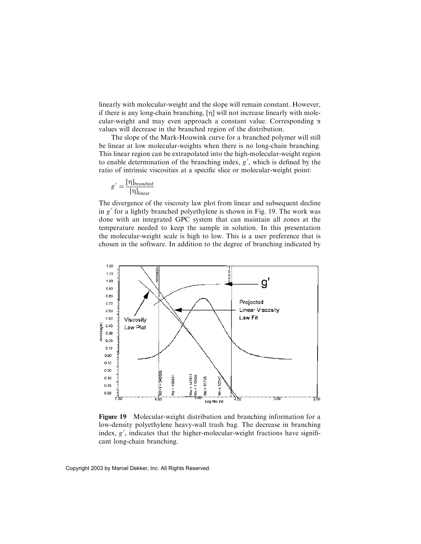<span id="page-30-0"></span>linearly with molecular-weight and the slope will remain constant. However, if there is any long-chain branching,  $[n]$  will not increase linearly with molecular-weight and may even approach a constant value. Corresponding  $\alpha$ values will decrease in the branched region of the distribution.

The slope of the Mark-Houwink curve for a branched polymer will still be linear at low molecular-weights when there is no long-chain branching. This linear region can be extrapolated into the high-molecular-weight region to enable determination of the branching index,  $g'$ , which is defined by the ratio of intrinsic viscosities at a specific slice or molecular-weight point:

$$
g' = \frac{[\eta]_{\text{branched}}}{[\eta]_{\text{linear}}}
$$

The divergence of the viscosity law plot from linear and subsequent decline in  $g'$  for a lightly branched polyethylene is shown in Fig. 19. The work was done with an integrated GPC system that can maintain all zones at the temperature needed to keep the sample in solution. In this presentation the molecular-weight scale is high to low. This is a user preference that is chosen in the software. In addition to the degree of branching indicated by



Figure 19 Molecular-weight distribution and branching information for a low-density polyethylene heavy-wall trash bag. The decrease in branching index,  $g'$ , indicates that the higher-molecular-weight fractions have significant long-chain branching.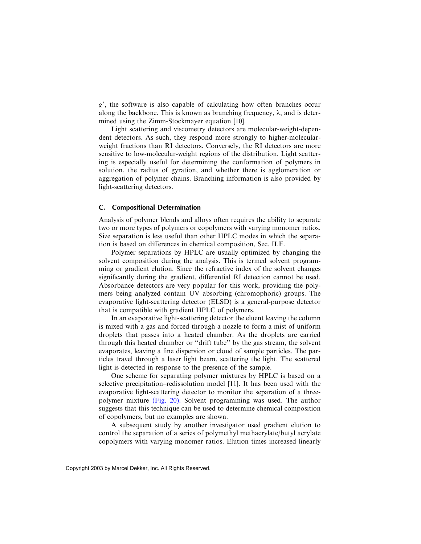$g'$ , the software is also capable of calculating how often branches occur along the backbone. This is known as branching frequency,  $\lambda$ , and is determined using the Zimm-Stockmayer equation [10].

Light scattering and viscometry detectors are molecular-weight-dependent detectors. As such, they respond more strongly to higher-molecularweight fractions than RI detectors. Conversely, the RI detectors are more sensitive to low-molecular-weight regions of the distribution. Light scattering is especially useful for determining the conformation of polymers in solution, the radius of gyration, and whether there is agglomeration or aggregation of polymer chains. Branching information is also provided by light-scattering detectors.

### C. Compositional Determination

Analysis of polymer blends and alloys often requires the ability to separate two or more types of polymers or copolymers with varying monomer ratios. Size separation is less useful than other HPLC modes in which the separation is based on differences in chemical composition, Sec. II.F.

Polymer separations by HPLC are usually optimized by changing the solvent composition during the analysis. This is termed solvent programming or gradient elution. Since the refractive index of the solvent changes significantly during the gradient, differential RI detection cannot be used. Absorbance detectors are very popular for this work, providing the polymers being analyzed contain UV absorbing (chromophoric) groups. The evaporative light-scattering detector (ELSD) is a general-purpose detector that is compatible with gradient HPLC of polymers.

In an evaporative light-scattering detector the eluent leaving the column is mixed with a gas and forced through a nozzle to form a mist of uniform droplets that passes into a heated chamber. As the droplets are carried through this heated chamber or ''drift tube'' by the gas stream, the solvent evaporates, leaving a fine dispersion or cloud of sample particles. The particles travel through a laser light beam, scattering the light. The scattered light is detected in response to the presence of the sample.

One scheme for separating polymer mixtures by HPLC is based on a selective precipitation–redissolution model [11]. It has been used with the evaporative light-scattering detector to monitor the separation of a threepolymer mixture [\(Fig. 20\)](#page-32-0). Solvent programming was used. The author suggests that this technique can be used to determine chemical composition of copolymers, but no examples are shown.

A subsequent study by another investigator used gradient elution to control the separation of a series of polymethyl methacrylate/butyl acrylate copolymers with varying monomer ratios. Elution times increased linearly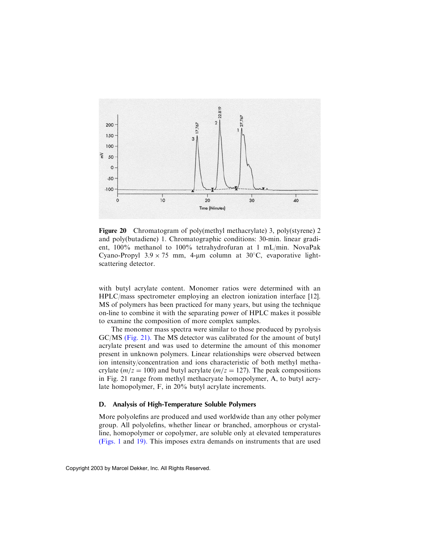<span id="page-32-0"></span>

Figure 20 Chromatogram of poly(methyl methacrylate) 3, poly(styrene) 2 and poly(butadiene) 1. Chromatographic conditions: 30-min. linear gradient, 100% methanol to 100% tetrahydrofuran at 1 mL/min. NovaPak Cyano-Propyl  $3.9 \times 75$  mm, 4-µm column at  $30^{\circ}$ C, evaporative lightscattering detector.

with butyl acrylate content. Monomer ratios were determined with an HPLC/mass spectrometer employing an electron ionization interface [12]. MS of polymers has been practiced for many years, but using the technique on-line to combine it with the separating power of HPLC makes it possible to examine the composition of more complex samples.

The monomer mass spectra were similar to those produced by pyrolysis GC/MS [\(Fig. 21\)](#page-33-0). The MS detector was calibrated for the amount of butyl acrylate present and was used to determine the amount of this monomer present in unknown polymers. Linear relationships were observed between ion intensity/concentration and ions characteristic of both methyl methacrylate ( $m/z = 100$ ) and butyl acrylate ( $m/z = 127$ ). The peak compositions in Fig. 21 range from methyl methacryate homopolymer, A, to butyl acrylate homopolymer, F, in 20% butyl acrylate increments.

# D. Analysis of High-Temperature Soluble Polymers

More polyolefins are produced and used worldwide than any other polymer group. All polyolefins, whether linear or branched, amorphous or crystalline, homopolymer or copolymer, are soluble only at elevated temperatures [\(Figs. 1](#page-2-0) and [19\)](#page-30-0). This imposes extra demands on instruments that are used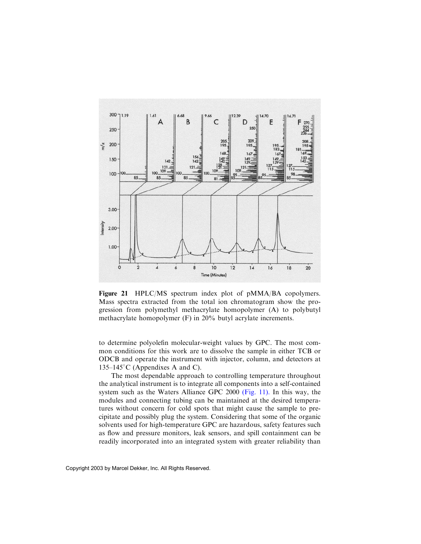<span id="page-33-0"></span>

Figure 21 HPLC/MS spectrum index plot of pMMA/BA copolymers. Mass spectra extracted from the total ion chromatogram show the progression from polymethyl methacrylate homopolymer (A) to polybutyl methacrylate homopolymer (F) in 20% butyl acrylate increments.

to determine polyolefin molecular-weight values by GPC. The most common conditions for this work are to dissolve the sample in either TCB or ODCB and operate the instrument with injector, column, and detectors at 135–145 C (Appendixes A and C).

The most dependable approach to controlling temperature throughout the analytical instrument is to integrate all components into a self-contained system such as the Waters Alliance GPC 2000 [\(Fig. 11\).](#page-13-0) In this way, the modules and connecting tubing can be maintained at the desired temperatures without concern for cold spots that might cause the sample to precipitate and possibly plug the system. Considering that some of the organic solvents used for high-temperature GPC are hazardous, safety features such as flow and pressure monitors, leak sensors, and spill containment can be readily incorporated into an integrated system with greater reliability than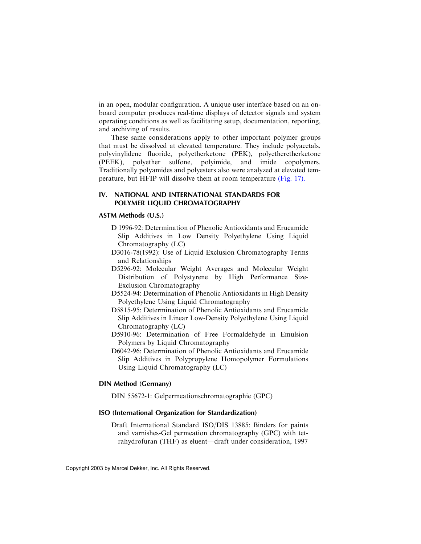in an open, modular configuration. A unique user interface based on an onboard computer produces real-time displays of detector signals and system operating conditions as well as facilitating setup, documentation, reporting, and archiving of results.

These same considerations apply to other important polymer groups that must be dissolved at elevated temperature. They include polyacetals, polyvinylidene fluoride, polyetherketone (PEK), polyetheretherketone (PEEK), polyether sulfone, polyimide, and imide copolymers. Traditionally polyamides and polyesters also were analyzed at elevated temperature, but HFIP will dissolve them at room temperature [\(Fig. 17\).](#page-27-0)

## IV. NATIONAL AND INTERNATIONAL STANDARDS FOR POLYMER LIQUID CHROMATOGRAPHY

## ASTM Methods (U.S.)

- D 1996-92: Determination of Phenolic Antioxidants and Erucamide Slip Additives in Low Density Polyethylene Using Liquid Chromatography (LC)
- D3016-78(1992): Use of Liquid Exclusion Chromatography Terms and Relationships
- D5296-92: Molecular Weight Averages and Molecular Weight Distribution of Polystyrene by High Performance Size-Exclusion Chromatography
- D5524-94: Determination of Phenolic Antioxidants in High Density Polyethylene Using Liquid Chromatography
- D5815-95: Determination of Phenolic Antioxidants and Erucamide Slip Additives in Linear Low-Density Polyethylene Using Liquid Chromatography (LC)
- D5910-96: Determination of Free Formaldehyde in Emulsion Polymers by Liquid Chromatography
- D6042-96: Determination of Phenolic Antioxidants and Erucamide Slip Additives in Polypropylene Homopolymer Formulations Using Liquid Chromatography (LC)

## DIN Method (Germany)

DIN 55672-1: Gelpermeationschromatographie (GPC)

#### ISO (International Organization for Standardization)

Draft International Standard ISO/DIS 13885: Binders for paints and varnishes-Gel permeation chromatography (GPC) with tetrahydrofuran (THF) as eluent—draft under consideration, 1997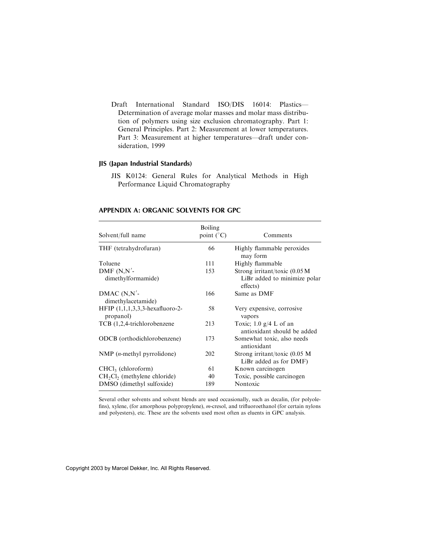Draft International Standard ISO/DIS 16014: Plastics— Determination of average molar masses and molar mass distribution of polymers using size exclusion chromatography. Part 1: General Principles. Part 2: Measurement at lower temperatures. Part 3: Measurement at higher temperatures—draft under consideration, 1999

### JIS (Japan Industrial Standards)

JIS K0124: General Rules for Analytical Methods in High Performance Liquid Chromatography

| Solvent/full name                            | Boiling<br>point $(^{\circ}C)$ | Comments                                                                  |
|----------------------------------------------|--------------------------------|---------------------------------------------------------------------------|
| THF (tetrahydrofuran)                        | 66                             | Highly flammable peroxides<br>may form                                    |
| Toluene                                      | 111                            | Highly flammable                                                          |
| DMF(N,N')<br>dimethylformamide)              | 153                            | Strong irritant/toxic (0.05 M<br>LiBr added to minimize polar<br>effects) |
| DMAC $(N, N')$<br>dimethylacetamide)         | 166                            | Same as DMF                                                               |
| HFIP (1,1,1,3,3,3-hexafluoro-2-<br>propanol) | 58                             | Very expensive, corrosive<br>vapors                                       |
| TCB (1,2,4-trichlorobenzene                  | 213                            | Toxic; 1.0 $g/4$ L of an<br>antioxidant should be added                   |
| ODCB (orthodichlorobenzene)                  | 173                            | Somewhat toxic, also needs<br>antioxidant                                 |
| $NMP$ ( <i>n</i> -methyl pyrrolidone)        | 202                            | Strong irritant/toxic $(0.05 \text{ M})$<br>LiBr added as for DMF)        |
| $CHCl3$ (chloroform)                         | 61                             | Known carcinogen                                                          |
| $CH2Cl2$ (methylene chloride)                | 40                             | Toxic, possible carcinogen                                                |
| DMSO (dimethyl sulfoxide)                    | 189                            | Nontoxic                                                                  |

#### APPENDIX A: ORGANIC SOLVENTS FOR GPC

Several other solvents and solvent blends are used occasionally, such as decalin, (for polyolefins), xylene, (for amorphous polypropylene), *m*-cresol, and trifluoroethanol (for certain nylons and polyesters), etc. These are the solvents used most often as eluents in GPC analysis.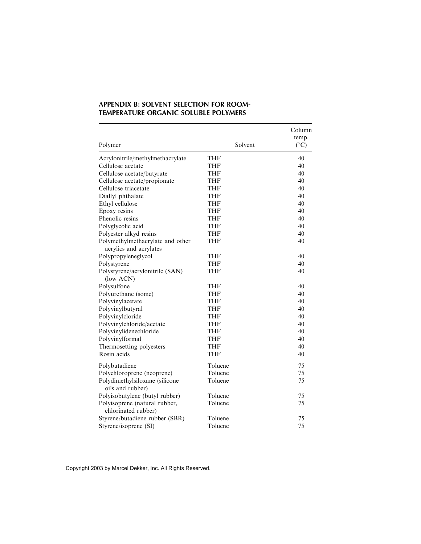# APPENDIX B: SOLVENT SELECTION FOR ROOM-TEMPERATURE ORGANIC SOLUBLE POLYMERS

|                                                            |            | Column<br>temp. |
|------------------------------------------------------------|------------|-----------------|
| Polymer                                                    | Solvent    | $({}^{\circ}C)$ |
| Acrylonitrile/methylmethacrylate                           | <b>THF</b> | 40              |
| Cellulose acetate                                          | <b>THF</b> | 40              |
| Cellulose acetate/butyrate                                 | THF        | 40              |
| Cellulose acetate/propionate                               | THF        | 40              |
| Cellulose triacetate                                       | <b>THF</b> | 40              |
| Diallyl phthalate                                          | <b>THF</b> | 40              |
| Ethyl cellulose                                            | <b>THF</b> | 40              |
| Epoxy resins                                               | <b>THF</b> | 40              |
| Phenolic resins                                            | <b>THF</b> | 40              |
| Polyglycolic acid                                          | <b>THF</b> | 40              |
| Polyester alkyd resins                                     | <b>THF</b> | 40              |
| Polymethylmethacrylate and other<br>acrylics and acrylates | THF        | 40              |
| Polypropyleneglycol                                        | <b>THF</b> | 40              |
| Polystyrene                                                | <b>THF</b> | 40              |
| Polystyrene/acrylonitrile (SAN)<br>(low ACN)               | <b>THF</b> | 40              |
| Polysulfone                                                | <b>THF</b> | 40              |
| Polyurethane (some)                                        | THF        | 40              |
| Polyvinylacetate                                           | <b>THF</b> | 40              |
| Polyvinylbutyral                                           | THF        | 40              |
| Polyvinylcloride                                           | <b>THF</b> | 40              |
| Polyvinylchloride/acetate                                  | <b>THF</b> | 40              |
| Polyvinylidenechloride                                     | <b>THF</b> | 40              |
| Polyvinylformal                                            | <b>THF</b> | 40              |
| Thermosetting polyesters                                   | <b>THF</b> | 40              |
| Rosin acids                                                | <b>THF</b> | 40              |
| Polybutadiene                                              | Toluene    | 75              |
| Polychloroprene (neoprene)                                 | Toluene    | 75              |
| Polydimethylsiloxane (silicone<br>oils and rubber)         | Toluene    | 75              |
| Polyisobutylene (butyl rubber)                             | Toluene    | 75              |
| Polyisoprene (natural rubber,<br>chlorinated rubber)       | Toluene    | 75              |
| Styrene/butadiene rubber (SBR)                             | Toluene    | 75              |
| Styrene/isoprene (SI)                                      | Toluene    | 75              |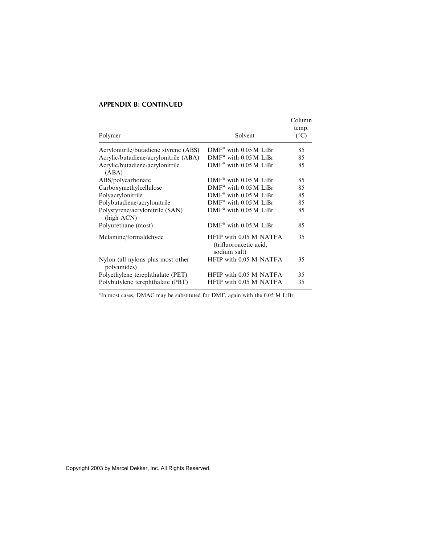|  | <b>APPENDIX B: CONTINUED</b> |
|--|------------------------------|
|--|------------------------------|

|                                                  |                                                                  | Column<br>temp. |
|--------------------------------------------------|------------------------------------------------------------------|-----------------|
| Polymer                                          | Solvent                                                          | $({}^{\circ}C)$ |
| Acrylonitrile/butadiene styrene (ABS)            | $DMFa$ with 0.05 M LiBr                                          | 85              |
| Acrylic/butadiene/acrylonitrile (ABA)            | $DMFa$ with 0.05 M LiBr                                          | 85              |
| Acrylic/butadiene/acrylonitrile<br>(ABA)         | $DMFa$ with 0.05 M LiBr                                          | 85              |
| ABS/polycarbonate                                | $DMFa$ with 0.05 M LiBr                                          | 85              |
| Carboxymethylcellulose                           | $DMFa$ with 0.05 M LiBr                                          | 85              |
| Polyacrylonitrile                                | $DMFa$ with 0.05 M LiBr                                          | 85              |
| Polybutadiene/acrylonitrile                      | $DMFa$ with 0.05 M LiBr                                          | 85              |
| Polystyrene/acrylonitrile (SAN)<br>(high ACN)    | $DMFa$ with 0.05 M LiBr                                          | 85              |
| Polyurethane (most)                              | $DMFa$ with 0.05 M LiBr                                          | 85              |
| Melamine/formaldehyde                            | HFIP with 0.05 M NATFA<br>(trifluoroacetic acid,<br>sodium salt) | 35              |
| Nylon (all nylons plus most other<br>polyamides) | HFIP with 0.05 M NATFA                                           | 35              |
| Polyethylene terephthalate (PET)                 | HFIP with 0.05 M NATFA                                           | 35              |
| Polybutylene terephthalate (PBT)                 | HFIP with 0.05 M NATFA                                           | 35              |

<sup>a</sup>In most cases, DMAC may be substituted for DMF, again with the 0.05 M LiBr.

Copyright 2003 by Marcel Dekker, Inc. All Rights Reserved.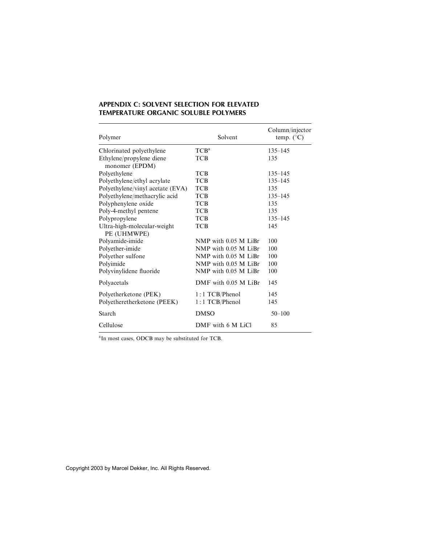# APPENDIX C: SOLVENT SELECTION FOR ELEVATED TEMPERATURE ORGANIC SOLUBLE POLYMERS

| Polymer                                    | Solvent                | Column/injector<br>temp. $(^{\circ}C)$ |
|--------------------------------------------|------------------------|----------------------------------------|
| Chlorinated polyethylene                   | TCB <sup>a</sup>       | $135 - 145$                            |
| Ethylene/propylene diene<br>monomer (EPDM) | <b>TCB</b>             | 135                                    |
| Polyethylene                               | <b>TCB</b>             | $135 - 145$                            |
| Polyethylene/ethyl acrylate                | <b>TCB</b>             | $135 - 145$                            |
| Polyethylene/vinyl acetate (EVA)           | <b>TCB</b>             | 135                                    |
| Polyethylene/methacrylic acid              | <b>TCB</b>             | $135 - 145$                            |
| Polyphenylene oxide                        | <b>TCB</b>             | 135                                    |
| Poly-4-methyl pentene                      | <b>TCB</b>             | 135                                    |
| Polypropylene                              | <b>TCB</b>             | $135 - 145$                            |
| Ultra-high-molecular-weight<br>PE (UHMWPE) | <b>TCB</b>             | 145                                    |
| Polyamide-imide                            | NMP with 0.05 M LiBr   | 100                                    |
| Polyether-imide                            | NMP with 0.05 M LiBr   | 100                                    |
| Polyether sulfone                          | $NMP$ with 0.05 M LiBr | 100                                    |
| Polyimide                                  | NMP with 0.05 M LiBr   | 100                                    |
| Polyvinylidene fluoride                    | NMP with 0.05 M LiBr   | 100                                    |
| Polyacetals                                | DMF with 0.05 M LiBr   | 145                                    |
| Polyetherketone (PEK)                      | 1:1 TCB/Phenol         | 145                                    |
| Polyetheretherketone (PEEK)                | $1:1$ TCB/Phenol       | 145                                    |
| Starch                                     | <b>DMSO</b>            | $50 - 100$                             |
| Cellulose                                  | DMF with 6 M LiCl      | 85                                     |

<sup>a</sup>In most cases, ODCB may be substituted for TCB.

Copyright 2003 by Marcel Dekker, Inc. All Rights Reserved.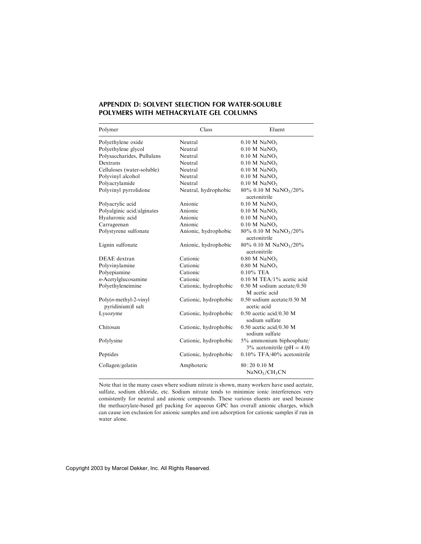# APPENDIX D: SOLVENT SELECTION FOR WATER-SOLUBLE POLYMERS WITH METHACRYLATE GEL COLUMNS

| Polymer                                             | Class                 | Eluent                                                    |
|-----------------------------------------------------|-----------------------|-----------------------------------------------------------|
| Polyethylene oxide                                  | Neutral               | $0.10$ M NaNO <sub>3</sub>                                |
| Polyethylene glycol                                 | Neutral               | $0.10$ M NaNO <sub>3</sub>                                |
| Polysaccharides, Pullulans                          | Neutral               | $0.10$ M NaNO <sub>3</sub>                                |
| Dextrans                                            | Neutral               | $0.10$ M NaNO <sub>3</sub>                                |
| Celluloses (water-soluble)                          | Neutral               | $0.10$ M NaNO <sub>3</sub>                                |
| Polyvinyl alcohol                                   | Neutral               | $0.10$ M NaNO <sub>3</sub>                                |
| Polyacrylamide                                      | Neutral               | $0.10$ M NaNO <sub>3</sub>                                |
| Polyvinyl pyrrolidone                               | Neutral, hydrophobic  | 80% 0.10 M NaNO <sub>3</sub> /20%<br>acetonitrile         |
| Polyacrylic acid                                    | Anionic               | $0.10$ M NaNO <sub>3</sub>                                |
| Polyalginic acid/alginates                          | Anionic               | $0.10$ M NaNO <sub>3</sub>                                |
| Hyaluronic acid                                     | Anionic               | $0.10$ M NaNO <sub>3</sub>                                |
| Carrageenan                                         | Anionic               | $0.10$ M NaNO <sub>3</sub>                                |
| Polystyrene sulfonate                               | Anionic, hydrophobic  | 80% 0.10 M NaNO <sub>3</sub> /20%<br>acetonitrile         |
| Lignin sulfonate                                    | Anionic, hydrophobic  | 80% 0.10 M NaNO <sub>3</sub> /20%<br>acetonitrile         |
| DEAE dextran                                        | Cationic              | $0.80$ M NaNO <sub>3</sub>                                |
| Polyvinylamine                                      | Cationic              | $0.80$ M NaNO <sub>3</sub>                                |
| Polyepiamine                                        | Cationic              | $0.10\%$ TEA                                              |
| $n$ -Acetylglucosamine                              | Cationic              | $0.10$ M TEA/1% acetic acid                               |
| Polyethyleneimine                                   | Cationic, hydrophobic | $0.50$ M sodium acetate/ $0.50$<br>M acetic acid          |
| Poly( <i>n</i> -methyl-2-vinyl<br>pyridinium)I salt | Cationic, hydrophobic | $0.50$ sodium acetate/ $0.50$ M<br>acetic acid            |
| Lysozyme                                            | Cationic, hydrophobic | $0.50$ acetic acid/0.30 M<br>sodium sulfate               |
| Chitosan                                            | Cationic, hydrophobic | $0.50$ acetic acid/ $0.30$ M<br>sodium sulfate            |
| Polylysine                                          | Cationic, hydrophobic | 5% ammonium biphosphate/<br>$3\%$ acetonitrile (pH = 4.0) |
| Peptides                                            | Cationic, hydrophobic | $0.10\%$ TFA/40% acetonitrile                             |
| Collagen/gelatin                                    | Amphoteric            | 80:200.10 M<br>NaNO <sub>3</sub> /CH <sub>3</sub> CN      |

Note that in the many cases where sodium nitrate is shown, many workers have used acetate, sulfate, sodium chloride, etc. Sodium nitrate tends to minimize ionic interferences very consistently for neutral and anionic compounds. These various eluents are used because the methacrylate-based gel packing for aqueous GPC has overall anionic charges, which can cause ion exclusion for anionic samples and ion adsorption for cationic samples if run in water alone.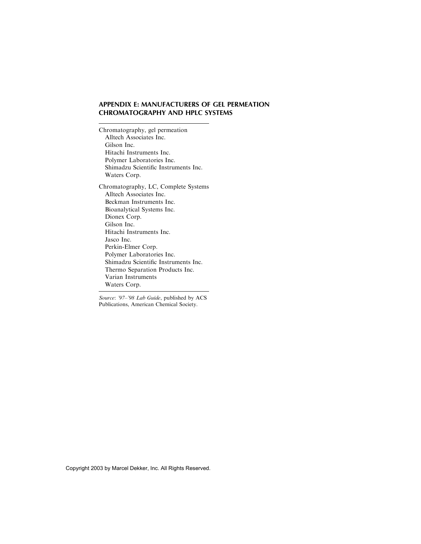# APPENDIX E: MANUFACTURERS OF GEL PERMEATION CHROMATOGRAPHY AND HPLC SYSTEMS

Chromatography, gel permeation Alltech Associates Inc. Gilson Inc. Hitachi Instruments Inc. Polymer Laboratories Inc. Shimadzu Scientific Instruments Inc. Waters Corp. Chromatography, LC, Complete Systems Alltech Associates Inc.

Beckman Instruments Inc. Bioanalytical Systems Inc. Dionex Corp. Gilson Inc. Hitachi Instruments Inc. Jasco Inc. Perkin-Elmer Corp. Polymer Laboratories Inc. Shimadzu Scientific Instruments Inc. Thermo Separation Products Inc. Varian Instruments Waters Corp.

Source: '97-'98 Lab Guide, published by ACS Publications, American Chemical Society.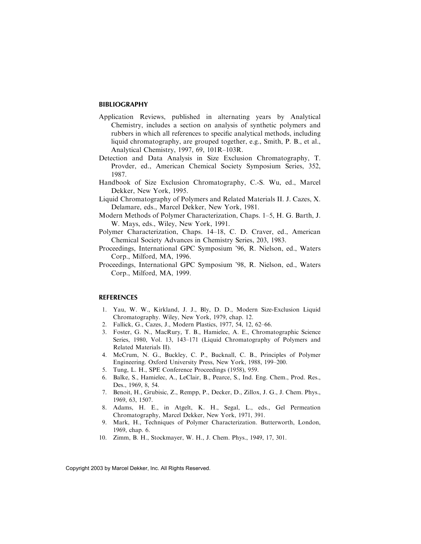### BIBLIOGRAPHY

- Application Reviews, published in alternating years by Analytical Chemistry, includes a section on analysis of synthetic polymers and rubbers in which all references to specific analytical methods, including liquid chromatography, are grouped together, e.g., Smith, P. B., et al., Analytical Chemistry, 1997, 69, 101R–103R.
- Detection and Data Analysis in Size Exclusion Chromatography, T. Provder, ed., American Chemical Society Symposium Series, 352, 1987.
- Handbook of Size Exclusion Chromatography, C.-S. Wu, ed., Marcel Dekker, New York, 1995.
- Liquid Chromatography of Polymers and Related Materials II. J. Cazes, X. Delamare, eds., Marcel Dekker, New York, 1981.
- Modern Methods of Polymer Characterization, Chaps. 1–5, H. G. Barth, J. W. Mays, eds., Wiley, New York, 1991.
- Polymer Characterization, Chaps. 14–18, C. D. Craver, ed., American Chemical Society Advances in Chemistry Series, 203, 1983.
- Proceedings, International GPC Symposium '96, R. Nielson, ed., Waters Corp., Milford, MA, 1996.
- Proceedings, International GPC Symposium '98, R. Nielson, ed., Waters Corp., Milford, MA, 1999.

#### **REFERENCES**

- 1. Yau, W. W., Kirkland, J. J., Bly, D. D., Modern Size-Exclusion Liquid Chromatography. Wiley, New York, 1979, chap. 12.
- 2. Fallick, G., Cazes, J., Modern Plastics, 1977, 54, 12, 62–66.
- 3. Foster, G. N., MacRury, T. B., Hamielec, A. E., Chromatographic Science Series, 1980, Vol. 13, 143–171 (Liquid Chromatography of Polymers and Related Materials II).
- 4. McCrum, N. G., Buckley, C. P., Bucknall, C. B., Principles of Polymer Engineering. Oxford University Press, New York, 1988, 199–200.
- 5. Tung, L. H., SPE Conference Proceedings (1958), 959.
- 6. Balke, S., Hamielec, A., LeClair, B., Pearce, S., Ind. Eng. Chem., Prod. Res., Des., 1969, 8, 54.
- 7. Benoit, H., Grubisic, Z., Rempp, P., Decker, D., Zillox, J. G., J. Chem. Phys., 1969, 63, 1507.
- 8. Adams, H. E., in Atgelt, K. H., Segal, L., eds., Gel Permeation Chromatography, Marcel Dekker, New York, 1971, 391.
- 9. Mark, H., Techniques of Polymer Characterization. Butterworth, London, 1969, chap. 6.
- 10. Zimm, B. H., Stockmayer, W. H., J. Chem. Phys., 1949, 17, 301.